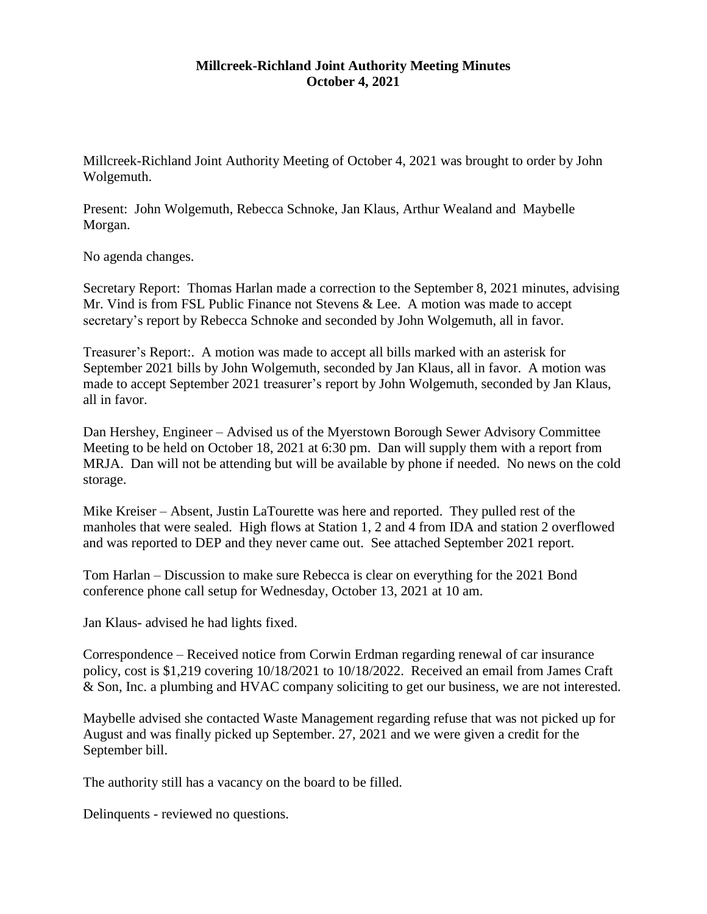## **Millcreek-Richland Joint Authority Meeting Minutes October 4, 2021**

Millcreek-Richland Joint Authority Meeting of October 4, 2021 was brought to order by John Wolgemuth.

Present: John Wolgemuth, Rebecca Schnoke, Jan Klaus, Arthur Wealand and Maybelle Morgan.

No agenda changes.

Secretary Report: Thomas Harlan made a correction to the September 8, 2021 minutes, advising Mr. Vind is from FSL Public Finance not Stevens & Lee. A motion was made to accept secretary's report by Rebecca Schnoke and seconded by John Wolgemuth, all in favor.

Treasurer's Report:. A motion was made to accept all bills marked with an asterisk for September 2021 bills by John Wolgemuth, seconded by Jan Klaus, all in favor. A motion was made to accept September 2021 treasurer's report by John Wolgemuth, seconded by Jan Klaus, all in favor.

Dan Hershey, Engineer – Advised us of the Myerstown Borough Sewer Advisory Committee Meeting to be held on October 18, 2021 at 6:30 pm. Dan will supply them with a report from MRJA. Dan will not be attending but will be available by phone if needed. No news on the cold storage.

Mike Kreiser – Absent, Justin LaTourette was here and reported. They pulled rest of the manholes that were sealed. High flows at Station 1, 2 and 4 from IDA and station 2 overflowed and was reported to DEP and they never came out. See attached September 2021 report.

Tom Harlan – Discussion to make sure Rebecca is clear on everything for the 2021 Bond conference phone call setup for Wednesday, October 13, 2021 at 10 am.

Jan Klaus- advised he had lights fixed.

Correspondence – Received notice from Corwin Erdman regarding renewal of car insurance policy, cost is \$1,219 covering 10/18/2021 to 10/18/2022. Received an email from James Craft & Son, Inc. a plumbing and HVAC company soliciting to get our business, we are not interested.

Maybelle advised she contacted Waste Management regarding refuse that was not picked up for August and was finally picked up September. 27, 2021 and we were given a credit for the September bill.

The authority still has a vacancy on the board to be filled.

Delinquents - reviewed no questions.